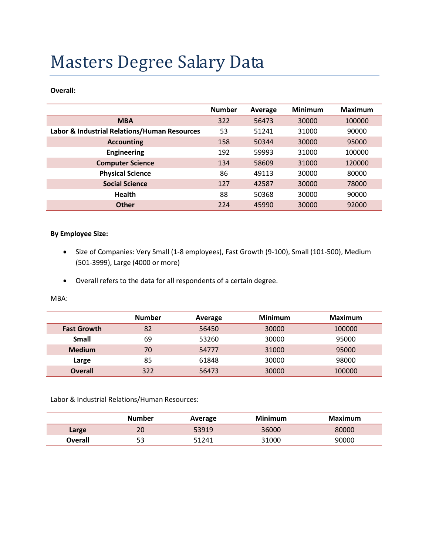# Masters Degree Salary Data

**Overall:**

|                                              | <b>Number</b> | Average | <b>Minimum</b> | <b>Maximum</b> |
|----------------------------------------------|---------------|---------|----------------|----------------|
| <b>MBA</b>                                   | 322           | 56473   | 30000          | 100000         |
| Labor & Industrial Relations/Human Resources | 53            | 51241   | 31000          | 90000          |
| <b>Accounting</b>                            | 158           | 50344   | 30000          | 95000          |
| <b>Engineering</b>                           | 192           | 59993   | 31000          | 100000         |
| <b>Computer Science</b>                      | 134           | 58609   | 31000          | 120000         |
| <b>Physical Science</b>                      | 86            | 49113   | 30000          | 80000          |
| <b>Social Science</b>                        | 127           | 42587   | 30000          | 78000          |
| <b>Health</b>                                | 88            | 50368   | 30000          | 90000          |
| <b>Other</b>                                 | 224           | 45990   | 30000          | 92000          |

#### **By Employee Size:**

- Size of Companies: Very Small (1-8 employees), Fast Growth (9-100), Small (101-500), Medium (501-3999), Large (4000 or more)
- Overall refers to the data for all respondents of a certain degree.

MBA:

|                    | <b>Number</b> | Average | <b>Minimum</b> | Maximum |
|--------------------|---------------|---------|----------------|---------|
| <b>Fast Growth</b> | 82            | 56450   | 30000          | 100000  |
| <b>Small</b>       | 69            | 53260   | 30000          | 95000   |
| <b>Medium</b>      | 70            | 54777   | 31000          | 95000   |
| Large              | 85            | 61848   | 30000          | 98000   |
| <b>Overall</b>     | 322           | 56473   | 30000          | 100000  |

Labor & Industrial Relations/Human Resources:

|                | Number | Average | <b>Minimum</b> | Maximum |
|----------------|--------|---------|----------------|---------|
| Large          | 20     | 53919   | 36000          | 80000   |
| <b>Overall</b> | 53     | 51241   | 31000          | 90000   |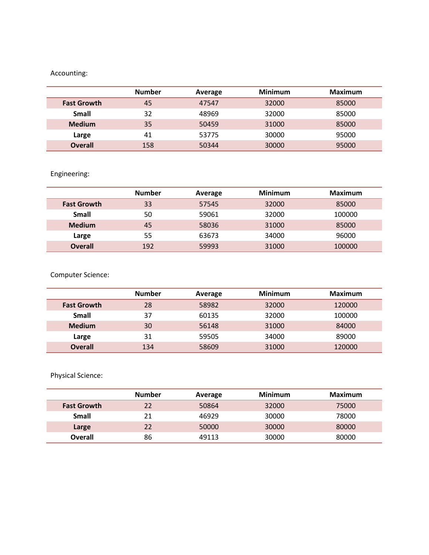## Accounting:

|                    | <b>Number</b> | Average | <b>Minimum</b> | <b>Maximum</b> |
|--------------------|---------------|---------|----------------|----------------|
| <b>Fast Growth</b> | 45            | 47547   | 32000          | 85000          |
| <b>Small</b>       | 32            | 48969   | 32000          | 85000          |
| <b>Medium</b>      | 35            | 50459   | 31000          | 85000          |
| Large              | 41            | 53775   | 30000          | 95000          |
| <b>Overall</b>     | 158           | 50344   | 30000          | 95000          |

## Engineering:

|                    | <b>Number</b> | Average | <b>Minimum</b> | <b>Maximum</b> |
|--------------------|---------------|---------|----------------|----------------|
| <b>Fast Growth</b> | 33            | 57545   | 32000          | 85000          |
| Small              | 50            | 59061   | 32000          | 100000         |
| <b>Medium</b>      | 45            | 58036   | 31000          | 85000          |
| Large              | 55            | 63673   | 34000          | 96000          |
| <b>Overall</b>     | 192           | 59993   | 31000          | 100000         |

Computer Science:

|                    | <b>Number</b> | Average | <b>Minimum</b> | <b>Maximum</b> |
|--------------------|---------------|---------|----------------|----------------|
| <b>Fast Growth</b> | 28            | 58982   | 32000          | 120000         |
| <b>Small</b>       | 37            | 60135   | 32000          | 100000         |
| <b>Medium</b>      | 30            | 56148   | 31000          | 84000          |
| Large              | 31            | 59505   | 34000          | 89000          |
| <b>Overall</b>     | 134           | 58609   | 31000          | 120000         |

Physical Science:

|                    | <b>Number</b> | Average | <b>Minimum</b> | <b>Maximum</b> |
|--------------------|---------------|---------|----------------|----------------|
| <b>Fast Growth</b> | 22            | 50864   | 32000          | 75000          |
| <b>Small</b>       | 21            | 46929   | 30000          | 78000          |
| Large              | 22            | 50000   | 30000          | 80000          |
| <b>Overall</b>     | 86            | 49113   | 30000          | 80000          |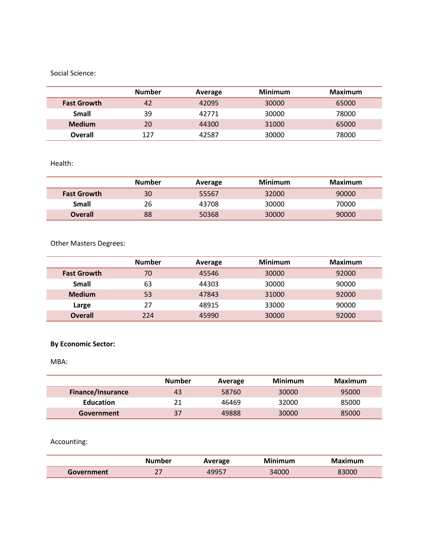#### Social Science:

|                    | <b>Number</b> | Average | <b>Minimum</b> | <b>Maximum</b> |
|--------------------|---------------|---------|----------------|----------------|
| <b>Fast Growth</b> | 42            | 42095   | 30000          | 65000          |
| <b>Small</b>       | 39            | 42771   | 30000          | 78000          |
| <b>Medium</b>      | 20            | 44300   | 31000          | 65000          |
| <b>Overall</b>     | 127           | 42587   | 30000          | 78000          |

#### Health:

|                    | <b>Number</b> | Average | <b>Minimum</b> | Maximum |
|--------------------|---------------|---------|----------------|---------|
| <b>Fast Growth</b> | 30            | 55567   | 32000          | 90000   |
| Small              | 26            | 43708   | 30000          | 70000   |
| <b>Overall</b>     | 88            | 50368   | 30000          | 90000   |

## Other Masters Degrees:

|                    | <b>Number</b> | Average | <b>Minimum</b> | Maximum |
|--------------------|---------------|---------|----------------|---------|
| <b>Fast Growth</b> | 70            | 45546   | 30000          | 92000   |
| Small              | 63            | 44303   | 30000          | 90000   |
| <b>Medium</b>      | 53            | 47843   | 31000          | 92000   |
| Large              | 27            | 48915   | 33000          | 90000   |
| <b>Overall</b>     | 224           | 45990   | 30000          | 92000   |

## **By Economic Sector:**

MBA:

|                          | <b>Number</b> | Average | Minimum | Maximum |
|--------------------------|---------------|---------|---------|---------|
| <b>Finance/Insurance</b> | 43            | 58760   | 30000   | 95000   |
| <b>Education</b>         | 21            | 46469   | 32000   | 85000   |
| Government               | 37            | 49888   | 30000   | 85000   |

Accounting:

|            | Number     | Average             | Minimum | Maximum |
|------------|------------|---------------------|---------|---------|
| Government | $\sim$ $-$ | $A\Omega$ $D\Gamma$ | 34000   | 83000   |